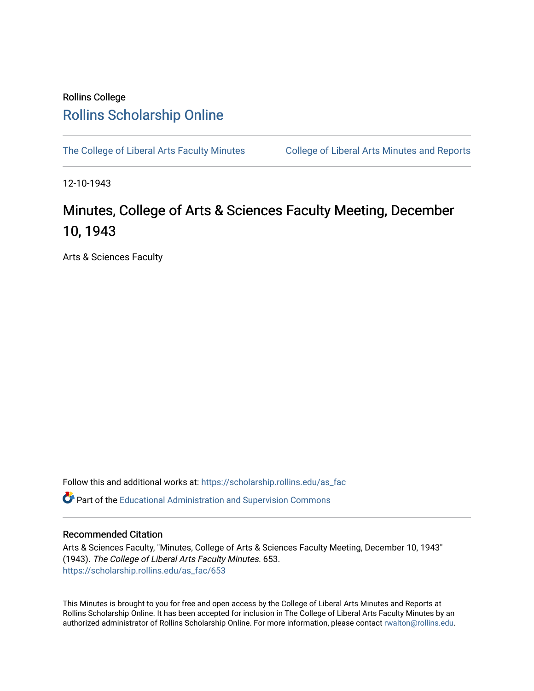## Rollins College [Rollins Scholarship Online](https://scholarship.rollins.edu/)

[The College of Liberal Arts Faculty Minutes](https://scholarship.rollins.edu/as_fac) College of Liberal Arts Minutes and Reports

12-10-1943

## Minutes, College of Arts & Sciences Faculty Meeting, December 10, 1943

Arts & Sciences Faculty

Follow this and additional works at: [https://scholarship.rollins.edu/as\\_fac](https://scholarship.rollins.edu/as_fac?utm_source=scholarship.rollins.edu%2Fas_fac%2F653&utm_medium=PDF&utm_campaign=PDFCoverPages) 

**P** Part of the [Educational Administration and Supervision Commons](http://network.bepress.com/hgg/discipline/787?utm_source=scholarship.rollins.edu%2Fas_fac%2F653&utm_medium=PDF&utm_campaign=PDFCoverPages)

## Recommended Citation

Arts & Sciences Faculty, "Minutes, College of Arts & Sciences Faculty Meeting, December 10, 1943" (1943). The College of Liberal Arts Faculty Minutes. 653. [https://scholarship.rollins.edu/as\\_fac/653](https://scholarship.rollins.edu/as_fac/653?utm_source=scholarship.rollins.edu%2Fas_fac%2F653&utm_medium=PDF&utm_campaign=PDFCoverPages) 

This Minutes is brought to you for free and open access by the College of Liberal Arts Minutes and Reports at Rollins Scholarship Online. It has been accepted for inclusion in The College of Liberal Arts Faculty Minutes by an authorized administrator of Rollins Scholarship Online. For more information, please contact [rwalton@rollins.edu](mailto:rwalton@rollins.edu).